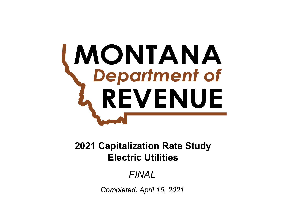# **MONTANA**<br>Chepartment of REVENUE

# **Electric Utilities2021 Capitalization Rate Study**

# *FINAL*

*Completed: April 16, 2021*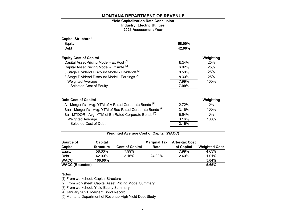# **2021 Assessment Year Industry: Electric Utilities Yield Capitalization Rate Conclusion**

| Source of<br>Canital             | Capital<br><b>Structure</b>                               | Cost of Capital                                                        | <b>Marginal Tax</b><br>Rato | <b>After-tax Cost</b><br>of Canital | <b>Wainhtad Cost</b> |
|----------------------------------|-----------------------------------------------------------|------------------------------------------------------------------------|-----------------------------|-------------------------------------|----------------------|
|                                  |                                                           | <b>Weighted Average Cost of Capital (WACC)</b>                         |                             |                                     |                      |
|                                  |                                                           |                                                                        |                             |                                     |                      |
|                                  | Selected Cost of Debt                                     |                                                                        |                             | 3.16%                               |                      |
| <b>Weighted Average</b>          |                                                           |                                                                        |                             | 3.16%                               | 100%                 |
|                                  |                                                           | Ba - MTDOR - Avg. YTM of Ba Rated Corporate Bonds <sup>[5]</sup>       |                             | 6.54%                               | 0%                   |
|                                  |                                                           | Baa - Mergent's - Avg. YTM of Baa Rated Corporate Bonds <sup>[4]</sup> |                             | 3.16%                               | 100%                 |
|                                  |                                                           | A - Mergent's - Avg. YTM of A Rated Corporate Bonds <sup>[4]</sup>     |                             | 2.72%                               | $0\%$                |
| <b>Debt Cost of Capital</b>      |                                                           |                                                                        |                             |                                     | Weighting            |
|                                  | Selected Cost of Equity                                   |                                                                        |                             | 7.99%                               |                      |
| <b>Weighted Average</b>          |                                                           |                                                                        |                             | 7.99%                               | 100%                 |
|                                  | 3 Stage Dividend Discount Model - Earnings <sup>[3]</sup> |                                                                        |                             | 8.30%                               | <u>25%</u>           |
|                                  |                                                           | 3 Stage Dividend Discount Model - Dividends <sup>[3]</sup>             |                             | 8.50%                               | 25%                  |
|                                  | Capital Asset Pricing Model - Ex Ante <sup>[2]</sup>      |                                                                        |                             | 6.82%                               | 25%                  |
|                                  | Capital Asset Pricing Model - Ex Post <sup>[2]</sup>      |                                                                        |                             | 8.34%                               | 25%                  |
| <b>Equity Cost of Capital</b>    |                                                           |                                                                        |                             |                                     | Weighting            |
| Debt                             |                                                           |                                                                        |                             | 42.00%                              |                      |
| Equity                           |                                                           |                                                                        |                             | 58.00%                              |                      |
| Capital Structure <sup>[1]</sup> |                                                           |                                                                        |                             |                                     |                      |
|                                  |                                                           |                                                                        |                             |                                     |                      |

| Capital               | <b>Structure</b> | <b>Cost of Capital</b> | Rate   | of Capital | <b>Weighted Cost</b> |
|-----------------------|------------------|------------------------|--------|------------|----------------------|
| Equity                | 58.00%           | 7.99%                  |        | 7.99%      | 4.63%                |
| Debt                  | 42.00%           | 3.16%                  | 24.00% | 2.40%      | 1.01%                |
| <b>WACC</b>           | 100.00%          |                        |        |            | 5.64%                |
| <b>WACC (Rounded)</b> |                  |                        |        |            | 5.65%                |
|                       |                  |                        |        |            |                      |

#### <u>Notes</u>

[1] From worksheet: Capital Structure

[2] From worksheet: Capital Asset Pricing Model Summary

[3] From worksheet: Yield Equity Summary

[4] January 2021, Mergent Bond Record

[5] Montana Department of Revenue High Yield Debt Study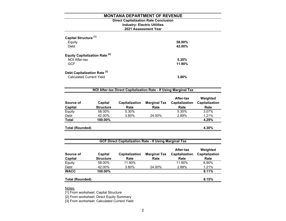# **Direct Capitalization Rate Conclusion Industry: Electric Utilities 2021 Assessment Year**

| Capital Structure <sup>[1]</sup><br>Equity<br>Debt                         | 58.00%<br>42.00% |
|----------------------------------------------------------------------------|------------------|
| <b>Equity Capitalization Rate [2]</b><br>NOI After-tax<br><b>GCF</b>       | 5.30%<br>11.90%  |
| Debt Capitalization Rate <sup>[3]</sup><br><b>Calculated Current Yield</b> | 3.80%            |

| NOI After-tax Direct Capitalization Rate - If Using Marginal Tax |                             |                        |                             |                                     |                                    |  |
|------------------------------------------------------------------|-----------------------------|------------------------|-----------------------------|-------------------------------------|------------------------------------|--|
| Source of<br>Capital                                             | Capital<br><b>Structure</b> | Capitalization<br>Rate | <b>Marginal Tax</b><br>Rate | After-tax<br>Capitalization<br>Rate | Weighted<br>Capitalization<br>Rate |  |
| Equity                                                           | 58.00%                      | 5.30%                  |                             | 5.30%                               | 3.07%                              |  |
| Debt                                                             | 42.00%                      | 3.80%                  | 24.00%                      | 2.89%                               | 1.21%                              |  |
| <b>Total</b>                                                     | 100.00%                     |                        |                             |                                     | 4.29%                              |  |
| <b>Total (Rounded)</b>                                           |                             |                        |                             |                                     | 4.30%                              |  |

| Source of<br>Capital   | Capital<br><b>Structure</b> | Capitalization<br>Rate | <b>Marginal Tax</b><br>Rate | After-tax<br>Capitalization<br>Rate | Weighted<br>Capitalization<br>Rate |
|------------------------|-----------------------------|------------------------|-----------------------------|-------------------------------------|------------------------------------|
| Equity                 | 58.00%                      | 11.90%                 |                             | 11.90%                              | 6.90%                              |
| Debt                   | 42.00%                      | 3.80%                  | 24.00%                      | 2.89%                               | 1.21%                              |
| <b>WACC</b>            | 100.00%                     |                        |                             |                                     | 8.11%                              |
| <b>Total (Rounded)</b> |                             |                        |                             |                                     | 8.15%                              |

Notes:

[1] From worksheet: Capital Structure

[2] From worksheet: Direct Equity Summary

[3] From worksheet: Calculated Current Yield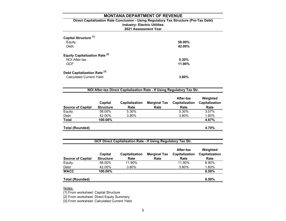# **2021 Assessment Year Industry: Electric Utilities Direct Capitalization Rate Conclusion - Using Regulatory Tax Structure (Pre-Tax Debt)**

| Capital Structure <sup>[1]</sup><br>Equity<br>Debt                         | 58.00%<br>42.00%      |
|----------------------------------------------------------------------------|-----------------------|
| <b>Equity Capitalization Rate [2]</b><br>NOI After-tax<br><b>GCF</b>       | $5.30\%$<br>$11.90\%$ |
| Debt Capitalization Rate <sup>[3]</sup><br><b>Calculated Current Yield</b> | $3.80\%$              |

| <b>Source of Capital</b> | Capital<br><b>Structure</b> | <b>Capitalization</b><br>Rate | <b>Marginal Tax</b><br>Rate | After-tax<br><b>Capitalization</b><br>Rate | Weighted<br>Capitalization<br>Rate |
|--------------------------|-----------------------------|-------------------------------|-----------------------------|--------------------------------------------|------------------------------------|
| Equity                   | 58.00%                      | 5.30%                         |                             | 5.30%                                      | 3.07%                              |
| Debt                     | 42.00%                      | 3.80%                         |                             | 3.80%                                      | 1.60%                              |
| <b>Total</b>             | 100.00%                     |                               |                             |                                            | 4.67%                              |
| Total (Rounded)          |                             |                               |                             |                                            | 4.70%                              |

| GCF Direct Capitalization Rate - If Using Regulatory Tax Str. |                             |                        |                             |                                     |                                    |  |  |
|---------------------------------------------------------------|-----------------------------|------------------------|-----------------------------|-------------------------------------|------------------------------------|--|--|
| <b>Source of Capital</b>                                      | Capital<br><b>Structure</b> | Capitalization<br>Rate | <b>Marginal Tax</b><br>Rate | After-tax<br>Capitalization<br>Rate | Weighted<br>Capitalization<br>Rate |  |  |
| Equity                                                        | 58.00%                      | 11.90%                 |                             | 11.90%                              | 6.90%                              |  |  |
| Debt                                                          | 42.00%                      | 3.80%                  |                             | 3.80%                               | 1.60%                              |  |  |
| <b>WACC</b>                                                   | 100.00%                     |                        |                             |                                     | 8.50%                              |  |  |
| <b>Total (Rounded)</b>                                        |                             |                        |                             |                                     | 8.50%                              |  |  |

Notes:

[1] From worksheet: Capital Structure

[2] From worksheet: Direct Equity Summary

[3] From worksheet: Calculated Current Yield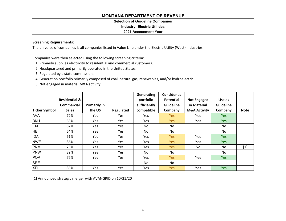# **Selection of Guideline Companies**

**Industry: Electric Utilities**

# **2021 Assessment Year**

# **Screening Requirements:**

The universe of companies is all companies listed in Value Line under the Electric Utility (West) industries.

Companies were then selected using the following screening criteria:

- 1. Primarily supplies electricity to residential and commercial customers.
- 2. Headquartered and primarily operated in the United States.
- 3. Regulated by <sup>a</sup> state commission.
- 4. Generation portfolio primarily composed of coal, natural gas, renewables, and/or hydroelectric.
- 5. Not engaged in material M&A activity.

|               |                          |                     |           | Generating   | <b>Consider as</b> |                         |                  |             |
|---------------|--------------------------|---------------------|-----------|--------------|--------------------|-------------------------|------------------|-------------|
|               | <b>Residential &amp;</b> |                     |           | portfolio    | <b>Potential</b>   | <b>Not Engaged</b>      | Use as           |             |
|               | <b>Commercial</b>        | <b>Primarily in</b> |           | sufficiently | <b>Guideline</b>   | in Material             | <b>Guideline</b> |             |
| Ticker Symbol | <b>Sales</b>             | the US              | Regulated | compatible   | Company            | <b>M&amp;A Activity</b> | Company          | <b>Note</b> |
| <b>AVA</b>    | 72%                      | Yes                 | Yes.      | Yes          | Yes                | Yes                     | <b>Yes</b>       |             |
| <b>BKH</b>    | 65%                      | Yes                 | Yes.      | Yes          | Yes                | Yes                     | <b>Yes</b>       |             |
| EIX           | 82%                      | <b>Yes</b>          | Yes       | No           | No                 |                         | No               |             |
| HE.           | 64%                      | Yes                 | Yes       | No           | No                 |                         | No               |             |
| <b>IDA</b>    | 61%                      | <b>Yes</b>          | Yes.      | Yes          | <b>Yes</b>         | Yes                     | Yes              |             |
| <b>NWE</b>    | 86%                      | Yes                 | Yes       | Yes          | <b>Yes</b>         | Yes                     | <b>Yes</b>       |             |
| <b>PNM</b>    | 75%                      | Yes                 | Yes       | Yes          | <b>Yes</b>         | No                      | No               | $[1]$       |
| PNW           | 89%                      | Yes                 | Yes       | No           | No                 |                         | No               |             |
| <b>POR</b>    | 77%                      | Yes                 | Yes       | Yes          | <b>Yes</b>         | Yes                     | <b>Yes</b>       |             |
| <b>SRE</b>    |                          |                     |           | No           | No                 |                         |                  |             |
| <b>XEL</b>    | 85%                      | Yes                 | Yes       | Yes          | <b>Yes</b>         | Yes                     | <b>Yes</b>       |             |

[1] Announced strategic merger with AVANGRID on 10/21/20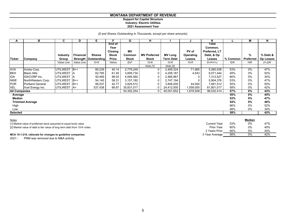#### **Support for Capital Structure Industry: Electric Utilities**

#### **2021 Assessment Year**

#### *(\$ and Shares Outstanding In Thousands, except per share amounts)*

| А                    | в                       | C.              | D                | Е                             |                           | G            | н                   |                  |           | ĸ                                 |            | M         | N                |
|----------------------|-------------------------|-----------------|------------------|-------------------------------|---------------------------|--------------|---------------------|------------------|-----------|-----------------------------------|------------|-----------|------------------|
|                      |                         |                 |                  |                               | End of<br>Year<br>Closing | <b>MV</b>    |                     |                  | PV of     | Total<br>Common,<br>Preferred, LT |            |           |                  |
|                      |                         | Industry        | <b>Financial</b> | <b>Shares</b>                 | Stock                     | Common       | <b>MV Preferred</b> | <b>MV Long</b>   | Operating | Debt, & Op                        |            | $\%$      | % Debt &         |
| <b>Ticker</b>        | Company                 | Group           |                  | <b>Strength   Outstanding</b> | Price                     | <b>Stock</b> | <b>Stock</b>        | <b>Term Debt</b> | Leases    | Leases                            | $%$ Common | Preferred | <b>Op Leases</b> |
|                      |                         | Value Line      | Value Line       | $10-K$                        | Yahoo                     | ExF          | $10-K$              | $10-K$           | 10-K      | $G+H+I+J$                         | G/K        | H/K       | (I+J)/K          |
|                      |                         |                 |                  |                               |                           |              | Note [1]            | Note [2]         |           |                                   |            |           |                  |
| <b>AVA</b>           | Avista Corp.            | <b>UTILWEST</b> | $B++$            | 69,239                        | 40.14                     | 2,779,249    | 0                   | 2,409,324        | 71,965    | 5,260,538                         | 53%        | 0%        | 47%              |
| <b>BKH</b>           | <b>Black Hills</b>      | UTILWEST A      |                  | 62,795                        | 61.45                     | 3,858,734    |                     | 4,208,167        | 4,543     | 8,071,444                         | 48%        | 0%        | 52%              |
| IDA                  | <b>IDACORP</b> Inc.     | UTILWEST A      |                  | 50,469                        | 96.03                     | 4,846,560    |                     | 2,466,967        |           | 7,313,527                         | 66%        | 0%        | 34%              |
| <b>NWE</b>           | NorthWestern Corp.      | <b>UTILWEST</b> | $B++$            | 54,145                        | 58.31                     | 3,157,182    | 0                   | 2,747,194        |           | 5,904,376                         | 53%        | 0%        | 47%              |
| <b>POR</b>           | <b>Portland General</b> | <b>UTILWEST</b> | $B++$            | 89,537                        | 42.77                     | 3,829,512    |                     | 3,808,000        | 44,000    | 7,681,512                         | 50%        | 0%        | 50%              |
| <b>XEL</b>           | Xcel Energy Inc.        | UTILWEST   A+   |                  | 537,438                       | 66.67                     | 35,831,017   |                     | 24,412,000       | 1,558,000 | 61,801,017                        | 58%        | 0%        | 42%              |
| <b>All Companies</b> |                         |                 |                  |                               |                           | 54,302,254   | 0                   | 40,051,652       | 1,678,508 | 96,032,414                        | 57%        | $0\%$     | 43%              |
| Average              |                         |                 |                  |                               |                           |              |                     |                  |           |                                   | 55%        | 0%        | 45%              |
| Median               |                         |                 |                  |                               |                           |              |                     |                  |           |                                   | 53%        | 0%        | 47%              |
|                      | <b>Trimmed Average</b>  |                 |                  |                               |                           |              |                     |                  |           |                                   | 54%        | $0\%$     | 46%              |
| High                 |                         |                 |                  |                               |                           |              |                     |                  |           |                                   | 66%        | 0%        | 52%              |
| Low                  |                         |                 |                  |                               |                           |              |                     |                  |           |                                   | 48%        | 0%        | 34%              |
| Selected             |                         |                 |                  |                               |                           |              |                     |                  |           |                                   | 58%        |           | 42%              |

| <b>Notes</b>                                                             |                |     | Median |     |
|--------------------------------------------------------------------------|----------------|-----|--------|-----|
| [1] Market value of preferred stock assumed to equal book value          | Current Year   | 53% | 0%     | 47% |
| [2] Market value of debt is fair value of long term debt from 10-K notes | Prior Year     | 60% | 0%     | 40% |
|                                                                          | 2 Years Prior  | 60% | 0%     | 40% |
| MCA 15-1-210, rationale for changes to guideline companies:              | 3 Year Average | 58% | 0%     | 42% |

2021 - PNM was removed due to M&A activity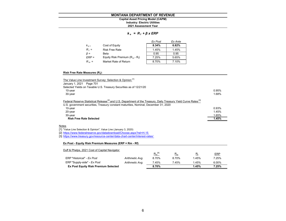#### **MONTANA DEPARTMENT OF REVENUE2021 Assessment Year Industry: Electric Utilities Capital Asset Pricing Model (CAPM)**

#### *k <sup>e</sup>= R <sup>f</sup><sup>+</sup>β x ERP*

|           |                                   | Ex Post | Ex Ante |
|-----------|-----------------------------------|---------|---------|
| $k_{e}$   | Cost of Equity                    | 8.34%   | 6.82%   |
| $R_f =$   | <b>Risk Free Rate</b>             | 1.45%   | 1.45%   |
| $\beta =$ | Beta                              | 0.95    | 0.95    |
| $ERP =$   | Equity Risk Premium $(R_m - R_f)$ | 7.25%   | 5.65%   |
| $R_m =$   | Market Rate of Return             | 8.70%   | 7.10%   |

#### **Risk Free Rate Measures (Rf):**

| The Value Line Investment Survey: Selection & Opinion [1]                                                                                                                                                                       |       |
|---------------------------------------------------------------------------------------------------------------------------------------------------------------------------------------------------------------------------------|-------|
| January 1, 2021 Page 701                                                                                                                                                                                                        |       |
| Selected Yields on Taxable U.S. Treasury Securities as of 12/21/20                                                                                                                                                              |       |
| $10$ -year                                                                                                                                                                                                                      | 0.95% |
| $30$ -year                                                                                                                                                                                                                      | 1.68% |
| Federal Reserve Statistical Release <sup>[2]</sup> and U.S. Department of the Treasury, Daily Treasury Yield Curve Rates <sup>[3]</sup><br>U.S. government securities, Treasury constant maturities, Nominal, December 31, 2020 |       |
| 10-year                                                                                                                                                                                                                         | 0.93% |
| $20$ -year                                                                                                                                                                                                                      | 1.45% |
| 30-year                                                                                                                                                                                                                         | 1.65% |
| <b>Risk Free Rate Selected</b>                                                                                                                                                                                                  | 1.45% |

#### <u>Notes</u>

[1] "Value Line Selection & Opinion", Value Line (January 3, 2020)

[2] https://www.federalreserve.gov/datadownload/Choose.aspx?rel=H.15

[3] https://www.treasury.gov/resource-center/data-chart-center/interest-rates/

#### **Ex Post - Equity Risk Premium Measures (ERP = Rm - Rf)**

| Duff & Phelps, 2021 Cost of Capital Navigator |                 |             |       |       |            |
|-----------------------------------------------|-----------------|-------------|-------|-------|------------|
|                                               |                 | $R_m^{[4]}$ | $R_m$ | $R_f$ | <b>ERP</b> |
| ERP "Historical" - Ex Post                    | Arithmetic Avg. | 8.70%       | 8.70% | 1.45% | 7.25%      |
| ERP "Supply-side" - Ex Post                   | Arithmetic Avg. | 7.45%       | 7.45% | 1.45% | 6.00%      |
| <b>Ex Post Equity Risk Premium Selected</b>   |                 | 8.70%       |       | 1.45% | 7.25%      |
|                                               |                 |             |       |       |            |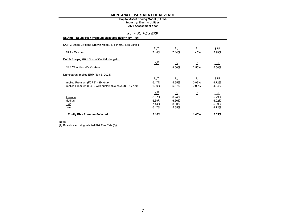# **Capital Asset Pricing Model (CAPM)**

**2021 Assessment Year Industry: Electric Utilities**

#### *k <sup>e</sup>= R <sup>f</sup><sup>+</sup>β x ERP*

| Ex Ante - Equity Risk Premium Measures (ERP = Rm - Rf) |  |  |
|--------------------------------------------------------|--|--|

| <b>Equity Risk Premium Selected</b>                       | 7.10%       |             | 1.45%       | 5.65%      |
|-----------------------------------------------------------|-------------|-------------|-------------|------------|
| Low                                                       | 6.17%       | 5.65%       |             | 4.72%      |
| <b>High</b>                                               | 7.44%       | 8.00%       |             | 5.99%      |
| Median                                                    | 6.39%       | 6.66%       |             | 5.22%      |
| Average                                                   | 6.67%       | 6.74%       |             | 5.29%      |
|                                                           | $R_m^{[4]}$ | $R_m$       | $R_{\rm f}$ | <b>ERP</b> |
| Implied Premium (FCFE with sustainable payout) - Ex Ante  | 6.39%       | 5.87%       | 0.93%       | 4.94%      |
| Implied Premium (FCFE) - Ex Ante                          | 6.17%       | 5.65%       | 0.93%       | 4.72%      |
|                                                           | $R_m^{[4]}$ | $R_{\rm m}$ | $R_{\rm f}$ | ERP        |
| Damodaran Implied ERP (Jan 5, 2021)                       |             |             |             |            |
| ERP "Conditional" - Ex Ante                               |             | 8.00%       | 2.50%       | 5.50%      |
|                                                           | $R_m^{[4]}$ | $R_m$       | $R_{\rm f}$ | <b>ERP</b> |
| Duff & Phelps, 2021 Cost of Capital Navigator             |             |             |             |            |
| ERP - Ex Ante                                             | 7.44%       | 7.44%       | 1.45%       | 5.99%      |
| DOR 3 Stage Dividend Growth Model, S & P 500, See Exhibit | $R_m^{[4]}$ | $R_m$       | $R_{\rm f}$ | <b>ERP</b> |

#### Notes

 $\overline{\left[4\right]}$   $\overline{\mathsf{R}_{\mathsf{m}}}$  estimated using selected Risk Free Rate ( $\overline{\mathsf{R}_{\mathsf{f}}}$ )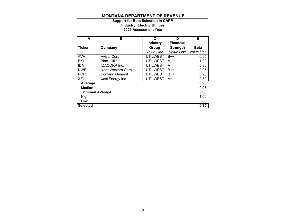**2021 Assessment Year Industry: Electric Utilities Support for Beta Selection in CAPM**

| A                      | в                       | C               | D                | Е                 |
|------------------------|-------------------------|-----------------|------------------|-------------------|
|                        |                         | <b>Industry</b> | <b>Financial</b> |                   |
| <b>Ticker</b>          | Company                 | Group           | <b>Strength</b>  | <b>Beta</b>       |
|                        |                         | Value Line      | Value Line       | <b>Value Line</b> |
| <b>AVA</b>             | Avista Corp.            | <b>UTILWEST</b> | $B++$            | 0.95              |
| <b>BKH</b>             | <b>Black Hills</b>      | <b>UTILWEST</b> | A                | 1.00              |
| <b>IIDA</b>            | <b>IDACORP</b> Inc.     | <b>UTILWEST</b> | A                | 0.80              |
| <b>NWE</b>             | NorthWestern Corp.      | <b>UTILWEST</b> | $B++$            | 0.95              |
| <b>POR</b>             | <b>Portland General</b> | <b>UTILWEST</b> | $B++$            | 0.90              |
| <b>XEL</b>             | Xcel Energy Inc.        | <b>UTILWEST</b> | ΙA+              | 0.80              |
| Average                |                         |                 |                  | 0.90              |
| <b>Median</b>          |                         |                 |                  | 0.93              |
| <b>Trimmed Average</b> |                         |                 |                  | 0.90              |
| High                   |                         |                 |                  | 1.00              |
| Low                    |                         |                 |                  | 0.80              |
| <b>Selected</b>        |                         |                 |                  | 0.95              |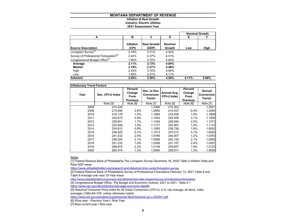#### **MONTANA DEPARTMENT OF REVENUE Inflation & Real Growth**

# **Industry: Electric Utilities**

#### **2021 Assessment Year**

|                                                   |                    |                             |                          | <b>Nominal Growth</b> |       |
|---------------------------------------------------|--------------------|-----------------------------|--------------------------|-----------------------|-------|
| A                                                 | в                  | C                           | D                        | Е                     | F     |
| <b>Source Description</b>                         | Inflation<br>(CPI) | <b>Real Growth</b><br>(GDP) | <b>Nominal</b><br>Growth | Low                   | High  |
| Livingston Survey <sup>[1]</sup>                  | 2.19%              | 2.21%                       | 4.40%                    |                       |       |
| Survey of Professional Forecasters <sup>[2]</sup> | 2.24%              | 2.27%                       | 4.51%                    |                       |       |
| Congressional Budget Office <sup>[3]</sup>        | 1.90%              | 3.70%                       | 5.60%                    |                       |       |
| Average                                           | 2.11%              | 2.73%                       | 4.84%                    |                       |       |
| Median                                            | 2.19%              | 2.27%                       | 4.46%                    |                       |       |
| High                                              | 2.24%              | 3.70%                       | 5.94%                    |                       |       |
| Low                                               | 1.90%              | 2.21%                       | 4.11%                    |                       |       |
| <b>Selected</b>                                   | 2.00%              | 2.50%                       | 4.50%                    | 4.11%                 | 5.94% |

| <b>Inflationary Trend Factors</b> |                  |                                              |                                             |                                   |                                              |                                       |
|-----------------------------------|------------------|----------------------------------------------|---------------------------------------------|-----------------------------------|----------------------------------------------|---------------------------------------|
| Year                              | Dec. CPI-U Index | Percent<br>Change<br>From<br><b>Previous</b> | Dec. to Dec.<br>Conversion<br><b>Factor</b> | Annual Avg.<br><b>CPI-U Index</b> | Percent<br>Change<br>From<br><b>Previous</b> | Annual<br><b>Conversion</b><br>Factor |
|                                   | Note [5]         | Note [6]                                     | <b>Note [7]</b>                             | Note [5]                          | Note [6]                                     | Note [7]                              |
| 2008                              | 210.228          |                                              | 1.2390                                      | 215.303                           |                                              | 1.2021                                |
| 2009                              | 215.949          | 2.6%                                         | 1.2062                                      | 214.537                           | $-0.4%$                                      | 1.2064                                |
| 2010                              | 219.179          | 1.5%                                         | 1.1884                                      | 218.056                           | 1.6%                                         | 1.1869                                |
| 2011                              | 225.672          | 2.9%                                         | 1.1542                                      | 224.939                           | 3.1%                                         | 1.1506                                |
| 2012                              | 229.601          | 1.7%                                         | 1.1345                                      | 229.594                           | 2.0%                                         | 1.1273                                |
| 2013                              | 233.049          | 1.5%                                         | 1.1177                                      | 232.957                           | 1.4%                                         | 1.1110                                |
| 2014                              | 234.812          | 0.8%                                         | 1.1093                                      | 236.736                           | 1.6%                                         | 1.0932                                |
| 2015                              | 236.525          | 0.7%                                         | 1.1013                                      | 237.017                           | 0.1%                                         | 1.0920                                |
| 2016                              | 241.432          | 2.0%                                         | 1.0789                                      | 240.007                           | 1.2%                                         | 1.0783                                |
| 2017                              | 246.524          | 2.1%                                         | 1.0566                                      | 245.120                           | 2.1%                                         | 1.0559                                |
| 2018                              | 251.233          | 1.9%                                         | 1.0368                                      | 251.107                           | 2.4%                                         | 1.0307                                |
| 2019                              | 256.974          | 2.2%                                         | 1.0136                                      | 255.657                           | 1.8%                                         | 1.0123                                |
| 2020                              | 260.474          | 1.3%                                         | 1.0000                                      | 258.811                           | 1.2%                                         | 1.0000                                |

<u>Notes</u>

[1] Federal Reserve Bank of Philadelphia The Livingston Survey December 18, 2020 Table 3 Inflation Rate and Real GDP mean

https://www.philadelphiafed.org/research-and-data/real-time-center/livingston-survey

[2] Federal Reserve Bank of Philadelphia Survey of Professional Forecasters February 12, 2021 Table 8 and Table 9 Average over next 10-Year mean

https://www.philadelphiafed.org/surveys-and-data/real-time-data-research/survey-of-professional-forecasters

[3] Congressional Budget Office, The Budget and Economic Outlook: 2021 to 2031, Table 2-1

https://www.cbo.gov/about/products/budget-economic-data#4

[5] Historical Consumer Price Index for All Urban Consumers (CPI-U): U.S. city average, all items, index averages (1982-84=100, unless otherwise noted)

https://www.bls.gov/cpi/tables/supplemental-files/historical-cpi-u-202001.pdf

[6] (Row year - Previous Year) / Row Year

[7] Most current year / Row year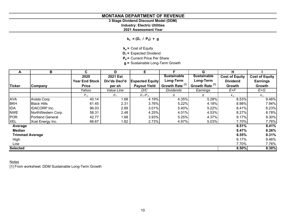# **3 Stage Dividend Discount Model (DDM)**

**Industry: Electric Utilities**

#### **2021 Assessment Year**

 $k_e = (D_1 / P_0) + g$ 

- **k<sub>e</sub>** = Cost of Equity
- **D<sub>1</sub>** = Expected Dividend
- **P<sub>0</sub>** = Current Price Per Share
- **g =** Sustainable Long-Term Growth

| A                      | В                       | C                     | D                        | Е.                     | F                          | G                          | н                     |                       |
|------------------------|-------------------------|-----------------------|--------------------------|------------------------|----------------------------|----------------------------|-----------------------|-----------------------|
|                        |                         | 2020                  | <b>2021 Est</b>          |                        | <b>Sustainable</b>         | <b>Sustainable</b>         | <b>Cost of Equity</b> | <b>Cost of Equity</b> |
|                        |                         | <b>Year End Stock</b> | Div'ds Decl'd            | <b>Expected Equity</b> | Long-Term                  | Long-Term                  | <b>Dividend</b>       | <b>Earnings</b>       |
| <b>Ticker</b>          | Company                 | <b>Price</b>          | per sh                   | <b>Payout Yield</b>    | Growth Rate <sup>[1]</sup> | Growth Rate <sup>[1]</sup> | Growth                | Growth                |
|                        |                         | Yahoo                 | <i><b>Value Line</b></i> | D/C                    | <b>Dividends</b>           | Earnings                   | E+F                   | $E+G$                 |
|                        |                         | P <sub>0</sub>        | $D_{1}$                  | $D_1/P_0$              | g                          | g                          | $k_e$                 | $k_e$                 |
| <b>AVA</b>             | Avista Corp.            | 40.14                 | 1.68                     | 4.19%                  | 4.35%                      | 5.28%                      | 8.53%                 | 9.46%                 |
| <b>BKH</b>             | <b>Black Hills</b>      | 61.45                 | 2.31                     | 3.76%                  | 5.22%                      | 4.18%                      | 8.98%                 | 7.94%                 |
| <b>IDA</b>             | <b>IDACORP</b> Inc.     | 96.03                 | 2.89                     | 3.01%                  | 5.40%                      | 5.22%                      | 8.41%                 | 8.23%                 |
| <b>NWE</b>             | NorthWestern Corp.      | 58.31                 | 2.48                     | 4.25%                  | 4.01%                      | 4.53%                      | 8.27%                 | 8.78%                 |
| <b>POR</b>             | <b>Portland General</b> | 42.77                 | 1.68                     | 3.93%                  | 5.25%                      | 4.37%                      | 9.17%                 | 8.30%                 |
| <b>XEL</b>             | Xcel Energy Inc.        | 66.67                 | 1.82                     | 2.73%                  | 4.97%                      | 5.03%                      | 7.70%                 | 7.76%                 |
| Average                |                         |                       |                          |                        |                            |                            | 8.51%                 | 8.41%                 |
| <b>Median</b>          |                         |                       |                          |                        |                            |                            | 8.47%                 | 8.26%                 |
| <b>Trimmed Average</b> |                         |                       |                          |                        |                            |                            | 8.55%                 | 8.31%                 |
| High                   |                         |                       |                          |                        |                            |                            | 9.17%                 | 9.46%                 |
| Low                    |                         |                       |                          |                        |                            |                            | 7.70%                 | 7.76%                 |
| <b>Selected</b>        |                         |                       |                          |                        |                            |                            | 8.50%                 | 8.30%                 |

#### <u>Notes</u>

[1] From worksheet: DDM Sustainable Long-Term Growth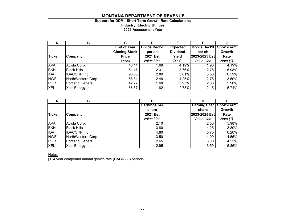# **Support for DDM - Short Term Growth Rate Calculations Industry: Electric Utilities 2021 Assessment Year**

| A             | в                       | С                    |                 |                 |               | G                 |
|---------------|-------------------------|----------------------|-----------------|-----------------|---------------|-------------------|
|               |                         | <b>End of Year</b>   | Div'ds Decl'd   | <b>Expected</b> | Div'ds Decl'd | <b>Short-Term</b> |
|               |                         | <b>Closing Stock</b> | per sh          | <b>Dividend</b> | per sh        | Growth            |
| <b>Ticker</b> | Company                 | <b>Price</b>         | <b>2021 Est</b> | Yield           | 2023-2025 Est | Rate              |
|               |                         | Yahoo                | Value Line      | D/C             | Value Line    | Note [1]          |
| <b>AVA</b>    | Avista Corp.            | 40.14                | 1.68            | 4.19%           | 1.90          | 4.19%             |
| <b>BKH</b>    | <b>Black Hills</b>      | 61.45                | 2.31            | 3.76%           | 2.75          | 5.98%             |
| <b>IDA</b>    | <b>IDACORP</b> Inc.     | 96.03                | 2.89            | 3.01%           | 3.50          | 6.59%             |
| <b>NWE</b>    | NorthWestern Corp.      | 58.31                | 2.48            | 4.25%           | 2.75          | 3.50%             |
| POR           | <b>Portland General</b> | 42.77                | 1.68            | 3.93%           | 2.00          | 5.98%             |
| <b>XEL</b>    | Xcel Energy Inc.        | 66.67                | 1.82            | 2.73%           | 2.15          | 5.71%             |

| A          | в                   |                     |                     |                   |
|------------|---------------------|---------------------|---------------------|-------------------|
|            |                     | <b>Earnings per</b> | <b>Earnings per</b> | <b>Short-Term</b> |
|            |                     | share               | share               | Growth            |
| Ticker     | <b>Company</b>      | <b>2021 Est</b>     | 2023-2025 Est       | Rate              |
|            |                     | Value Line          | Value Line          | Note [1]          |
| <b>AVA</b> | Avista Corp.        | 2.10                | 2.50                | 5.98%             |
| <b>BKH</b> | <b>Black Hills</b>  | 3.80                | 4.25                | 3.80%             |
| <b>IDA</b> | <b>IDACORP</b> Inc. | 4.80                | 5.75                | 6.20%             |
| <b>NWE</b> | NorthWestern Corp.  | 3.50                | 4.00                | 4.55%             |
| <b>POR</b> | Portland General    | 2.65                | 3.00                | 4.22%             |
| <b>XEL</b> | Xcel Energy Inc.    | 2.95                | 3.50                | 5.86%             |

<u>Notes</u>

[1] 4 year compound annual growth rate (CAGR) - 3 periods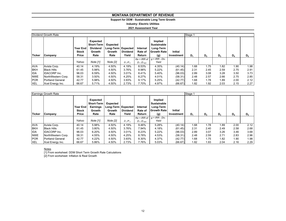#### **Support for DDM - Sustainable Long Term Growth**

**Industry: Electric Utilities**

**2021 Assessment Year**

|            | Dividend Growth Rate    |                                          |                                                                           |                                                      |                          |                                                   |                                                                         | Stage 1                      |       |                |       |       |       |
|------------|-------------------------|------------------------------------------|---------------------------------------------------------------------------|------------------------------------------------------|--------------------------|---------------------------------------------------|-------------------------------------------------------------------------|------------------------------|-------|----------------|-------|-------|-------|
| Ticker     | Company                 | <b>Year End</b><br><b>Stock</b><br>Price | <b>Expected</b><br><b>Short-Term</b><br><b>Dividend</b><br>Growth<br>Rate | Expected<br>Long-Term   Expected  <br>Growth<br>Rate | <b>Dividend</b><br>Yield | Internal<br>Rate of<br>Return                     | Implied<br><b>Sustainable</b><br>Long-Term<br><b>Growth Rate</b><br>(g) | <b>Initial</b><br>Investment | $D_1$ | D <sub>2</sub> | $D_3$ | $D_4$ | $D_5$ |
|            |                         | Yahoo                                    | Note [1]                                                                  | Note [2]                                             | $D_1/P_0$                | $Ke = IRR$ of<br>D <sub>1</sub> :D <sub>500</sub> | $q = IRR - Div.$<br>Yield                                               |                              |       |                |       |       |       |
| <b>AVA</b> | Avista Corp.            | 40.14                                    | 4.19%                                                                     | 4.50%                                                | 4.19%                    | 8.53%                                             | 4.35%                                                                   | (40.14)                      | 1.68  | 1.75           | 1.82  | 1.90  | 1.98  |
| <b>BKH</b> | <b>Black Hills</b>      | 61.45                                    | 5.98%                                                                     | 4.50%                                                | 3.76%                    | 8.98%                                             | 5.22%                                                                   | (61.45)                      | 2.31  | 2.45           | 2.59  | 2.75  | 2.91  |
| <b>IDA</b> | <b>IDACORP</b> Inc.     | 96.03                                    | 6.59%                                                                     | 4.50%                                                | 3.01%                    | 8.41%                                             | 5.40%                                                                   | (96.03)                      | 2.89  | 3.08           | 3.28  | 3.50  | 3.73  |
| <b>NWE</b> | NorthWestern Corp.      | 58.31                                    | 3.50%                                                                     | 4.50%                                                | 4.25%                    | 8.27%                                             | 4.01%                                                                   | (58.31)                      | 2.48  | 2.57           | 2.66  | 2.75  | 2.85  |
| <b>POR</b> | <b>Portland General</b> | 42.77                                    | 5.98%                                                                     | 4.50%                                                | 3.93%                    | 9.17%                                             | 5.25%                                                                   | (42.77)                      | 1.68  | 1.78           | 1.89  | 2.00  | 2.12  |
| XEL        | Xcel Energy Inc.        | 66.67                                    | 5.71%                                                                     | 4.50%                                                | 2.73%                    | 7.70%                                             | 4.97%                                                                   | (66.67)                      | 1.82  | 1.92           | 2.03  | 2.15  | 2.27  |

|            | Earnings Growth Rate    | Stage 1                                         |                                                             |                                                           |                          |                                    |                                                                  |                              |       |                |       |       |       |
|------------|-------------------------|-------------------------------------------------|-------------------------------------------------------------|-----------------------------------------------------------|--------------------------|------------------------------------|------------------------------------------------------------------|------------------------------|-------|----------------|-------|-------|-------|
| Ticker     | Company                 | <b>Year End</b><br><b>Stock</b><br><b>Price</b> | <b>Expected</b><br>Short-Term<br>Earnings<br>Growth<br>Rate | <b>Expected</b><br>Long-Term   Expected<br>Growth<br>Rate | <b>Dividend</b><br>Yield | Internal<br>Rate of<br>Return      | Implied<br><b>Sustainable</b><br>Long-Term<br>Growth Rate<br>(g) | <b>Initial</b><br>Investment | $D_1$ | D <sub>2</sub> | $D_3$ | $D_4$ | $D_5$ |
|            |                         | Yahoo                                           | Note [1]                                                    | Note [2]                                                  | $D_1/P_0$                | $Ke = IRR$ of<br>$D_1$ : $D_{500}$ | $q = IRR - Div.$<br>Yield                                        |                              |       |                |       |       |       |
| <b>AVA</b> | Avista Corp.            | 40.14                                           | 5.98%                                                       | 4.50%                                                     | 4.19%                    | 9.46%                              | 5.28%                                                            | (40.14)                      | 1.68  | 1.78           | 1.89  | 2.00  | 2.12  |
| <b>BKH</b> | <b>Black Hills</b>      | 61.45                                           | 3.80%                                                       | 4.50%                                                     | 3.76%                    | 7.94%                              | 4.18%                                                            | (61.45)                      | 2.31  | 2.40           | 2.49  | 2.58  | 2.68  |
| <b>IDA</b> | <b>IDACORP</b> Inc.     | 96.03                                           | 6.20%                                                       | 4.50%                                                     | 3.01%                    | 8.23%                              | 5.22%                                                            | (96.03)                      | 2.89  | 3.07           | 3.26  | 3.46  | 3.68  |
| <b>NWE</b> | NorthWestern Corp.      | 58.31                                           | 4.55%                                                       | 4.50%                                                     | 4.25%                    | 8.78%                              | 4.53%                                                            | (58.31)                      | 2.48  | 2.59           | 2.71  | 2.83  | 2.96  |
| <b>POR</b> | <b>Portland General</b> | 42.77                                           | 4.22%                                                       | 4.50%                                                     | 3.93%                    | 8.30%                              | 4.37%                                                            | (42.77)                      | 1.68  | 1.75           | 1.82  | 1.90  | 1.98  |
| <b>XEL</b> | Xcel Energy Inc.        | 66.67                                           | 5.86%                                                       | 4.50%                                                     | 2.73%                    | 7.76%                              | 5.03%                                                            | (66.67)                      | 1.82  | 1.93           | 2.04  | 2.16  | 2.29  |

#### Notes

[1] From worksheet: DDM Short Term Growth Rate Calculations

[2] From worksheet: Inflation & Real Growth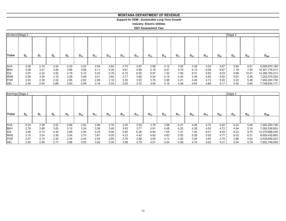# **Support for DDM - Sustainable Long Term Growth**

**Industry: Electric Utilities**

#### **2021 Assessment Year**

|            | Dividend Stage 2<br>Stage 3 |                |       |       |          |          |          |          |          |          |          |          |          |          |          |          |          |                |
|------------|-----------------------------|----------------|-------|-------|----------|----------|----------|----------|----------|----------|----------|----------|----------|----------|----------|----------|----------|----------------|
| Ticker     | $D_6$                       | D <sub>7</sub> | $D_8$ | $D_9$ | $D_{10}$ | $D_{11}$ | $D_{12}$ | $D_{13}$ | $D_{14}$ | $D_{15}$ | $D_{16}$ | $D_{17}$ | $D_{18}$ | $D_{19}$ | $D_{20}$ | $D_{21}$ | $D_{22}$ | $D_{500}$      |
|            |                             |                |       |       |          |          |          |          |          |          |          |          |          |          |          |          |          |                |
|            |                             |                |       |       |          |          |          |          |          |          |          |          |          |          |          |          |          |                |
| <b>AVA</b> | 2.06                        | 2.15           | 2.24  | 2.33  | 2.43     | 2.54     | 2.64     | 2.75     | 2.87     | 2.99     | 3.12     | 3.25     | 3.38     | 3.53     | 3.67     | 3.84     | 4.01     | 5,506,970,169  |
| <b>BKH</b> | 3.09                        | 3.27           | 3.46  | 3.66  | 3.88     | 4.11     | 4.35     | 4.61     | 4.88     | 5.16     | 5.47     | 5.79     | 6.13     | 6.49     | 6.87     | 7.18     | 7.50     | 10,301,776,014 |
| <b>IDA</b> | 3.97                        | 4.23           | 4.50  | 4.79  | 5.10     | 5.43     | 5.78     | 6.15     | 6.55     | 6.97     | 7.42     | 7.90     | 8.41     | 8.95     | 9.53     | 9.96     | 10.41    | 14,286,765,213 |
| <b>NWE</b> | 2.95                        | 3.05           | 3.16  | 3.28  | 3.39     | 3.51     | 3.64     | 3.77     | 3.90     | 4.04     | 4.19     | 4.34     | 4.49     | 4.65     | 4.82     | 5.03     | 5.26     | 7,222,575,239  |
| <b>POR</b> | 2.24                        | 2.38           | 2.52  | 2.66  | 2.82     | 2.99     | 3.16     | 3.35     | 3.55     | 3.76     | 3.98     | 4.21     | 4.46     | 4.72     | 5.00     | 5.22     | 5.46     | 7,492,200,738  |
| <b>XEL</b> | 2.40                        | 2.54           | 2.68  | 2.83  | 2.99     | 3.16     | 3.33     | 3.52     | 3.72     | 3.93     | 4.15     | 4.39     | 4.63     | 4.89     | 5.17     | 5.40     | 5.64     | 7,748,834,117  |

|               | Earnings Stage 2 |      |       |       |          |          |          |          |          |          |          |          |          |          | Stage 3  |          |          |                |
|---------------|------------------|------|-------|-------|----------|----------|----------|----------|----------|----------|----------|----------|----------|----------|----------|----------|----------|----------------|
| <b>Ticker</b> | $D_{6}$          | D,   | $D_8$ | $D_9$ | $D_{10}$ | $D_{11}$ | $D_{12}$ | $D_{13}$ | $D_{14}$ | $D_{15}$ | $D_{16}$ | $D_{17}$ | $D_{18}$ | $D_{19}$ | $D_{20}$ | $D_{21}$ | $D_{22}$ | $D_{500}$      |
|               |                  |      |       |       |          |          |          |          |          |          |          |          |          |          |          |          |          |                |
| <b>AVA</b>    | 2.24             | 2.38 | 2.52  | 2.66  | 2.82     | 2.99     | 3.16     | 3.35     | 3.55     | 3.76     | 3.98     | 4.21     | 4.46     | 4.72     | 5.00     | 5.22     | 5.46     | 7,492,200,738  |
| <b>BKH</b>    | 2.78             | 2.89 | 3.00  | 3.12  | 3.24     | 3.36     | 3.49     | 3.63     | 3.77     | 3.91     | 4.06     | 4.22     | 4.38     | 4.55     | 4.72     | 4.94     | 5.16     | 7,082,536,654  |
| <b>IDA</b>    | 3.90             | 4.14 | 4.39  | 4.66  | 4.94     | 5.24     | 5.56     | 5.90     | 6.26     | 6.64     | 7.05     | 7.47     | 7.93     | 8.41     | 8.93     | 9.33     | 9.75     | 13,379,688,038 |
| <b>NWE</b>    | 3.10             | 3.24 | 3.39  | 3.54  | 3.70     | 3.87     | 4.05     | 4.23     | 4.42     | 4.62     | 4.83     | 5.05     | 5.28     | 5.52     | 5.77     | 6.03     | 6.31     | 8,656,435,893  |
| <b>POR</b>    | 2.07             | 2.15 | 2.25  | 2.34  | 2.44     | 2.54     | 2.65     | 2.76     | 2.88     | 3.00     | 3.13     | 3.26     | 3.40     | 3.55     | 3.70     | 3.86     | 4.04     | 5,539,859,023  |
| <b>XEL</b>    | 2.42             | 2.56 | 2.71  | 2.86  | 3.03     | 3.20     | 3.39     | 3.58     | 3.79     | 4.01     | 4.24     | 4.48     | 4.74     | 5.02     | 5.31     | 5.54     | 5.79     | 7,952,748,059  |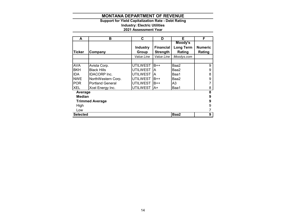#### **Support for Yield Capitalization Rate - Debt Rating Industry: Electric Utilities 2021 Assessment Year**

| A               | в                       | C               | D                | Е                | F              |
|-----------------|-------------------------|-----------------|------------------|------------------|----------------|
|                 |                         |                 |                  | Moody's          |                |
|                 |                         | <b>Industry</b> | <b>Financial</b> | <b>Long Term</b> | <b>Numeric</b> |
| <b>Ticker</b>   | Company                 | Group           | <b>Strength</b>  | Rating           | Rating         |
|                 |                         | Value Line      | Value Line       | Moodys.com       |                |
|                 |                         |                 |                  |                  |                |
| <b>AVA</b>      | Avista Corp.            | UTILWEST        | $B++$            | Baa2             | 9              |
| <b>BKH</b>      | <b>Black Hills</b>      | UTILWEST        | ΙA               | Baa2             | 9              |
| IDA.            | <b>IDACORP</b> Inc.     | UTILWEST        | ΙA               | Baa1             | 8              |
| <b>NWE</b>      | NorthWestern Corp.      | UTILWEST        | $B++$            | Baa2             | 9              |
| <b>POR</b>      | <b>Portland General</b> | UTILWEST        | $B++$            | A <sub>3</sub>   |                |
| <b>XEL</b>      | Xcel Energy Inc.        | <b>UTILWEST</b> | lA+              | Baa1             | 8              |
| Average         |                         |                 |                  |                  | 8              |
| <b>Median</b>   |                         |                 |                  |                  | 9              |
|                 | <b>Trimmed Average</b>  |                 |                  |                  | 9              |
| High            |                         |                 |                  |                  | 9              |
| Low             |                         |                 |                  |                  |                |
| <b>Selected</b> |                         |                 |                  | Baa2             | 9              |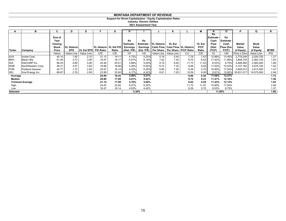#### **Support for Direct Capitalization - Equity Capitalization Rates**

**2021 Assessment Year Industry: Electric Utilities**

| A             | в                       | C            |                    | Е.                   |                        | G     | н               |       |                                                | n             |                                                               | М             | N          | O               | Р             | Q          | R           |
|---------------|-------------------------|--------------|--------------------|----------------------|------------------------|-------|-----------------|-------|------------------------------------------------|---------------|---------------------------------------------------------------|---------------|------------|-----------------|---------------|------------|-------------|
|               |                         |              |                    |                      |                        |       |                 |       |                                                |               |                                                               |               | Ke         |                 |               |            |             |
|               |                         | End of       |                    |                      |                        |       |                 |       |                                                |               |                                                               |               | Estimate - | Ke              |               |            |             |
|               |                         | Year         |                    |                      |                        |       | Ke              | Ke    |                                                |               |                                                               |               | Cash       | <b>Estimate</b> |               |            |             |
|               |                         | Closing      |                    |                      |                        |       | Estimate -      |       | Estimate - VL Historic                         | <b>VL Est</b> |                                                               | <b>VL Est</b> | Flow       | Cash            | <b>Market</b> | Book       |             |
|               |                         | <b>Stock</b> | <b>VL Historic</b> |                      | VL Historic VL Est P/E |       | <b>Earnings</b> |       | Earnings   Cash Flow   Cash Flow   VL Historic |               |                                                               | <b>P/CF</b>   | (Hist.     | low (Est.       | Value         | Value      |             |
| <b>Ticker</b> | Company                 | Price        | <b>EPS</b>         | VL Est EPS P/E Ratio |                        | Ratio |                 |       |                                                |               | (Hist. P/E)   (Est. P/E)   Per Share   Per Share   P/CF Ratio | Ratio         | P(CF)      | P(CF)           | of Equity     | of Equity  | <b>MTBR</b> |
|               |                         | Yahoo        | Value Line         | Value Line           | C/D                    | C/E   | 1/F             | 1/G   | Value Line                                     | Value Line    | C/J                                                           | C/K           | 1/L        | 1/M             | Price x Shrs  | Value Line | P/Q         |
| <b>AVA</b>    | Avista Corp.            | 40.14        | 1.90               | 2.10                 | 21.13                  | 19.11 | 4.73%           | 5.23% | 5.16                                           | 5.40          | 7.78                                                          | 7.43          | 12.86%     | 13.45%          | 2,779,249     | 2,029,700  | 1.37        |
| <b>BKH</b>    | <b>Black Hills</b>      | 61.45        | 3.73               | 3.80                 | 16.47                  | 16.17 | 6.07%           | 6.18% | 7.02                                           | 7.30          | 8.75                                                          | 8.42          | 11.42%     | 11.88%          | 3,858,734     | 2,362,100  | 1.63        |
| IDA           | <b>IDACORP</b> Inc.     | 96.03        | 4.69               | 4.80                 | 20.48                  | 20.01 | 4.88%           | 5.00% | 8.19                                           | 8.40          | 11.73                                                         | 11.43         | 8.53%      | 8.75%           | 4,846,560     | 2,560,000  | 1.89        |
| <b>NWE</b>    | NorthWestern Corp.      | 58.31        | 3.07               | 3.50                 | 18.99                  | 16.66 | 5.26%           | 6.00% | 6.72                                           | 7.25          | 8.68                                                          | 8.04          | 11.52%     | 12.43%          | 3,157,182     | 2,079,100  | 1.52        |
| <b>POR</b>    | <b>Portland General</b> | 42.77        | 1.72               | 2.65                 | 24.87                  | 16.14 | 4.02%           | 6.20% | 6.80                                           | 7.50          | 6.29                                                          | 5.70          | 15.90%     | 17.54%          | 3,829,512     | 2,613,000  | 1.47        |
| <b>XEL</b>    | Xcel Energy Inc.        | 66.67        | 2.78               | 2.95                 | 23.98                  | 22.60 | 4.17%           | 4.42% | 6.61                                           | 7.20          | 10.09                                                         | 9.26          | 9.91%      | 10.80%          | 35,831,017    | 14,575,000 | 2.46        |
| Average       |                         |              |                    |                      | 20.99                  | 18.45 | 4.86%           | 5.51% |                                                |               | 8.89                                                          | 8.38          | 11.69%     | 12.47%          |               |            | 1.72        |
| Median        |                         |              |                    |                      | 20.80                  | 17.89 | 4.81%           | 5.62% |                                                |               | 8.72                                                          | 8.23          | 11.47%     | 12.16%          |               |            | 1.58        |
|               | <b>Trimmed Average</b>  |              |                    |                      | 21.14                  | 17.99 | 4.76%           | 5.60% |                                                |               | 8.82                                                          | 8.29          | 11.43%     | 12.14%          |               |            | 1.63        |
| High          |                         |              |                    |                      | 24.87                  | 22.60 | 6.07%           | 6.20% |                                                |               | 11.73                                                         | 11.43         | 15.90%     | 17.54%          |               |            | 2.46        |
| Low           |                         |              |                    |                      | 16.47                  | 16.14 | 4.02%           | 4.42% |                                                |               | 6.29                                                          | 5.70          | 8.53%      | 8.75%           |               |            | 1.37        |
| Selected      |                         |              |                    |                      |                        |       |                 | 5.30% |                                                |               |                                                               |               |            | 11.90%          |               |            | 1.60        |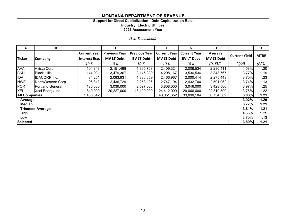# **Support for Direct Capitalization - Debt Capitalization Rate**

**Industry: Electric Utilities**

**2021 Assessment Year**

|  |  |  | (\$ in Thousands) |
|--|--|--|-------------------|
|--|--|--|-------------------|

| A                    | В                       | C                   | D                    | E                    | F                   | G                   | н                 |                      |             |
|----------------------|-------------------------|---------------------|----------------------|----------------------|---------------------|---------------------|-------------------|----------------------|-------------|
|                      |                         | <b>Current Year</b> | <b>Previous Year</b> | <b>Previous Year</b> | <b>Current Year</b> | <b>Current Year</b> | Average           | <b>Current Yield</b> | <b>MTBR</b> |
| <b>Ticker</b>        | <b>Company</b>          | Interest Exp.       | <b>MV LT Debt</b>    | <b>BV LT Debt</b>    | <b>MV LT Debt</b>   | <b>BV LT Debt</b>   | <b>MV LT Debt</b> |                      |             |
|                      |                         | 10-K                | 10-K                 | 10-K                 | 10-K                | 10-K                | $(D+F)/2$         | (C/H)                | (F/G)       |
| <b>AVA</b>           | Avista Corp.            | 104,348             | 2,151,498            | 1,895,768            | 2,409,324           | 2,008,534           | 2,280,411         | 4.58%                | 1.20        |
| <b>BKH</b>           | <b>Black Hills</b>      | 144,931             | 3,479,367            | 3,145,839            | 4,208,167           | 3,536,536           | 3,843,767         | 3.77%                | 1.19        |
| <b>IDA</b>           | <b>IDACORP</b> Inc.     | 84,251              | 2,083,931            | 1,836,659            | 2,466,967           | 2,000,414           | 2,275,449         | 3.70%                | 1.23        |
| <b>NWE</b>           | NorthWestern Corp.      | 96,812              | 2,436,729            | 2,253,196            | 2,747,194           | 2,432,700           | 2,591,962         | 3.74%                | 1.13        |
| <b>POR</b>           | <b>Portland General</b> | 136,000             | 3,039,000            | 2,597,000            | 3,808,000           | 3,046,000           | 3,423,500         | 3.97%                | 1.25        |
| <b>XEL</b>           | Xcel Energy Inc.        | 840,000             | 20,227,000           | 18,109,000           | 24,412,000          | 20,066,000          | 22,319,500        | 3.76%                | 1.22        |
| <b>All Companies</b> |                         | .406,342            |                      |                      | 40,051,652          | 33,090,184          | 36,734,589        | 3.83%                | 1.21        |
| Average              |                         |                     |                      |                      |                     |                     |                   | 3.92%                | 1.20        |
| Median               |                         |                     |                      |                      |                     |                     |                   | 3.77%                | 1.21        |
|                      | <b>Trimmed Average</b>  |                     |                      |                      |                     |                     |                   | 3.81%                | 1.21        |
| High                 |                         |                     |                      |                      |                     |                     |                   | 4.58%                | 1.25        |
| Low                  |                         |                     |                      |                      |                     |                     |                   | 3.70%                | 1.13        |
| <b>Selected</b>      |                         |                     |                      |                      |                     |                     |                   | 3.80%                | 1.21        |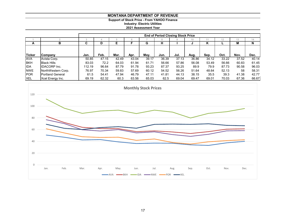# **Support of Stock Price - From YAHOO Finance**

**Industry: Electric Utilities**

**2021 Assessment Year**

|               |                         |        | <b>End of Period Closing Stock Price</b> |       |       |       |       |       |                 |       |       |       |       |  |  |
|---------------|-------------------------|--------|------------------------------------------|-------|-------|-------|-------|-------|-----------------|-------|-------|-------|-------|--|--|
|               |                         |        |                                          |       |       |       |       |       | 10 <sup>°</sup> |       |       | 13    | 14    |  |  |
| A             | в                       | С      | D                                        |       |       | G     | н     |       |                 | Κ     |       | M     | N     |  |  |
|               |                         |        |                                          |       |       |       |       |       |                 |       |       |       |       |  |  |
| <b>Ticker</b> | <b>ICompany</b>         | Jan.   | Feb.                                     | Mar.  | Apr.  | May.  | Jun.  | Jul.  | Aug.            | Sep.  | Oct.  | Nov.  | Dec.  |  |  |
| <b>AVA</b>    | Avista Corp.            | 50.85  | 47.15                                    | 42.49 | 43.04 | 39.17 | 36.39 | 37.13 | 36.86           | 34.12 | 33.22 | 37.52 | 40.14 |  |  |
| <b>BKH</b>    | <b>Black Hills</b>      | 83.03  | 72.2                                     | 64.03 | 61.94 | 61.71 | 56.66 | 57.86 | 56.08           | 53.49 | 56.66 | 60.83 | 61.45 |  |  |
| <b>IIDA</b>   | <b>IDACORP</b> Inc.     | 112.19 | 96.64                                    | 87.79 | 91.78 | 93.23 | 87.37 | 93.25 | 89.9            | 79.9  | 87.73 | 90.58 | 96.03 |  |  |
| <b>NWE</b>    | NorthWestern Corp.      | 76.97  | 70.34                                    | 59.83 | 57.69 | 60.12 | 54.52 | 56.26 | 51.64           | 48.64 | 52.13 | 58    | 58.31 |  |  |
| <b>POR</b>    | <b>Portland General</b> | 61.5   | 54.41                                    | 47.94 | 46.79 | 47.11 | 41.81 | 44.13 | 38.15           | 35.5  | 39.3  | 41.38 | 42.77 |  |  |
| <b>XEL</b>    | Xcel Energy Inc.        | 69.19  | 62.32                                    | 60.3  | 63.56 | 65.03 | 62.5  | 69.04 | 69.47           | 69.01 | 70.03 | 67.36 | 66.67 |  |  |